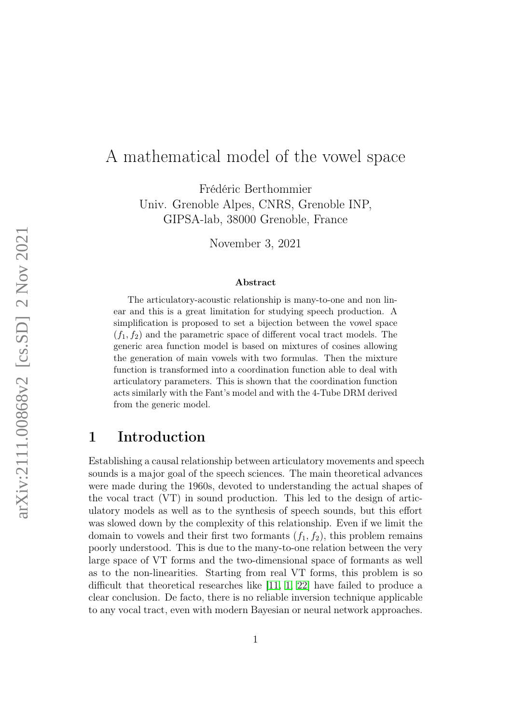# A mathematical model of the vowel space

Frédéric Berthommier Univ. Grenoble Alpes, CNRS, Grenoble INP, GIPSA-lab, 38000 Grenoble, France

November 3, 2021

#### Abstract

The articulatory-acoustic relationship is many-to-one and non linear and this is a great limitation for studying speech production. A simplification is proposed to set a bijection between the vowel space  $(f_1, f_2)$  and the parametric space of different vocal tract models. The generic area function model is based on mixtures of cosines allowing the generation of main vowels with two formulas. Then the mixture function is transformed into a coordination function able to deal with articulatory parameters. This is shown that the coordination function acts similarly with the Fant's model and with the 4-Tube DRM derived from the generic model.

# 1 Introduction

Establishing a causal relationship between articulatory movements and speech sounds is a major goal of the speech sciences. The main theoretical advances were made during the 1960s, devoted to understanding the actual shapes of the vocal tract (VT) in sound production. This led to the design of articulatory models as well as to the synthesis of speech sounds, but this effort was slowed down by the complexity of this relationship. Even if we limit the domain to vowels and their first two formants  $(f_1, f_2)$ , this problem remains poorly understood. This is due to the many-to-one relation between the very large space of VT forms and the two-dimensional space of formants as well as to the non-linearities. Starting from real VT forms, this problem is so difficult that theoretical researches like [\[11,](#page-11-0) [1,](#page-10-0) [22\]](#page-12-0) have failed to produce a clear conclusion. De facto, there is no reliable inversion technique applicable to any vocal tract, even with modern Bayesian or neural network approaches.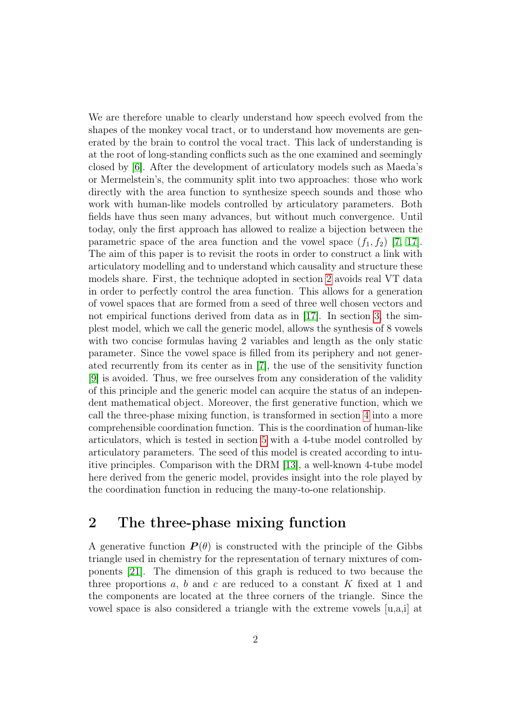We are therefore unable to clearly understand how speech evolved from the shapes of the monkey vocal tract, or to understand how movements are generated by the brain to control the vocal tract. This lack of understanding is at the root of long-standing conflicts such as the one examined and seemingly closed by [\[6\]](#page-10-1). After the development of articulatory models such as Maeda's or Mermelstein's, the community split into two approaches: those who work directly with the area function to synthesize speech sounds and those who work with human-like models controlled by articulatory parameters. Both fields have thus seen many advances, but without much convergence. Until today, only the first approach has allowed to realize a bijection between the parametric space of the area function and the vowel space  $(f_1, f_2)$  [\[7,](#page-10-2) [17\]](#page-11-1). The aim of this paper is to revisit the roots in order to construct a link with articulatory modelling and to understand which causality and structure these models share. First, the technique adopted in section [2](#page-1-0) avoids real VT data in order to perfectly control the area function. This allows for a generation of vowel spaces that are formed from a seed of three well chosen vectors and not empirical functions derived from data as in [\[17\]](#page-11-1). In section [3,](#page-2-0) the simplest model, which we call the generic model, allows the synthesis of 8 vowels with two concise formulas having 2 variables and length as the only static parameter. Since the vowel space is filled from its periphery and not generated recurrently from its center as in [\[7\]](#page-10-2), the use of the sensitivity function [\[9\]](#page-11-2) is avoided. Thus, we free ourselves from any consideration of the validity of this principle and the generic model can acquire the status of an independent mathematical object. Moreover, the first generative function, which we call the three-phase mixing function, is transformed in section [4](#page-4-0) into a more comprehensible coordination function. This is the coordination of human-like articulators, which is tested in section [5](#page-5-0) with a 4-tube model controlled by articulatory parameters. The seed of this model is created according to intuitive principles. Comparison with the DRM [\[13\]](#page-11-3), a well-known 4-tube model here derived from the generic model, provides insight into the role played by the coordination function in reducing the many-to-one relationship.

# <span id="page-1-0"></span>2 The three-phase mixing function

A generative function  $P(\theta)$  is constructed with the principle of the Gibbs triangle used in chemistry for the representation of ternary mixtures of components [\[21\]](#page-12-1). The dimension of this graph is reduced to two because the three proportions  $a, b$  and  $c$  are reduced to a constant  $K$  fixed at 1 and the components are located at the three corners of the triangle. Since the vowel space is also considered a triangle with the extreme vowels [u,a,i] at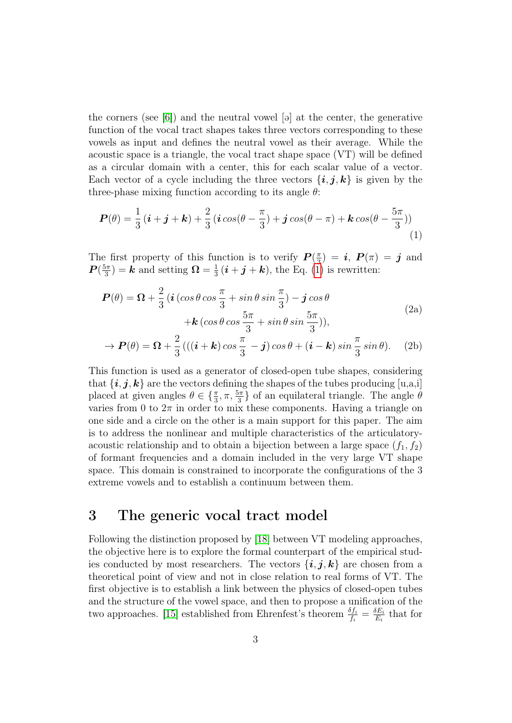the corners (see  $[6]$ ) and the neutral vowel  $[9]$  at the center, the generative function of the vocal tract shapes takes three vectors corresponding to these vowels as input and defines the neutral vowel as their average. While the acoustic space is a triangle, the vocal tract shape space (VT) will be defined as a circular domain with a center, this for each scalar value of a vector. Each vector of a cycle including the three vectors  $\{\mathbf{i}, \mathbf{j}, \mathbf{k}\}\$ is given by the three-phase mixing function according to its angle  $\theta$ :

<span id="page-2-1"></span>
$$
\boldsymbol{P}(\theta) = \frac{1}{3} \left( \boldsymbol{i} + \boldsymbol{j} + \boldsymbol{k} \right) + \frac{2}{3} \left( \boldsymbol{i} \cos(\theta - \frac{\pi}{3}) + \boldsymbol{j} \cos(\theta - \pi) + \boldsymbol{k} \cos(\theta - \frac{5\pi}{3}) \right) \tag{1}
$$

The first property of this function is to verify  $P(\frac{\pi}{3})$  $\left(\frac{\pi}{3}\right) \,=\, \bm{i}, \,\, \bm{P}(\pi) \,=\, \bm{j} \,\,\, \mathrm{and}$  $\bm{P}(\frac{5\pi}{3}$  $\frac{5\pi}{3}$  = **k** and setting  $\Omega = \frac{1}{3}$  $\frac{1}{3}(\boldsymbol{i} + \boldsymbol{j} + \boldsymbol{k})$ , the Eq. [\(1\)](#page-2-1) is rewritten:

<span id="page-2-2"></span>
$$
\mathbf{P}(\theta) = \mathbf{\Omega} + \frac{2}{3} \left( \mathbf{i} \left( \cos \theta \cos \frac{\pi}{3} + \sin \theta \sin \frac{\pi}{3} \right) - \mathbf{j} \cos \theta \right. \\
\left. + \mathbf{k} \left( \cos \theta \cos \frac{5\pi}{3} + \sin \theta \sin \frac{5\pi}{3} \right) \right), \\
\rightarrow \mathbf{P}(\theta) = \mathbf{\Omega} + \frac{2}{3} \left( \left( \mathbf{i} + \mathbf{k} \right) \cos \frac{\pi}{3} - \mathbf{j} \right) \cos \theta + \left( \mathbf{i} - \mathbf{k} \right) \sin \frac{\pi}{3} \sin \theta \right). \tag{2b}
$$

This function is used as a generator of closed-open tube shapes, considering that  $\{\boldsymbol{i}, \boldsymbol{j}, \boldsymbol{k}\}$  are the vectors defining the shapes of the tubes producing  $[u, a, i]$ placed at given angles  $\theta \in \{\frac{\pi}{3}, \pi, \frac{5\pi}{3}\}\$  of an equilateral triangle. The angle  $\theta$ varies from 0 to  $2\pi$  in order to mix these components. Having a triangle on one side and a circle on the other is a main support for this paper. The aim is to address the nonlinear and multiple characteristics of the articulatoryacoustic relationship and to obtain a bijection between a large space  $(f_1, f_2)$ of formant frequencies and a domain included in the very large VT shape space. This domain is constrained to incorporate the configurations of the 3 extreme vowels and to establish a continuum between them.

## <span id="page-2-0"></span>3 The generic vocal tract model

Following the distinction proposed by [\[18\]](#page-11-4) between VT modeling approaches, the objective here is to explore the formal counterpart of the empirical studies conducted by most researchers. The vectors  $\{\boldsymbol{i}, \boldsymbol{j}, \boldsymbol{k}\}\$ are chosen from a theoretical point of view and not in close relation to real forms of VT. The first objective is to establish a link between the physics of closed-open tubes and the structure of the vowel space, and then to propose a unification of the two approaches. [\[15\]](#page-11-5) established from Ehrenfest's theorem  $\frac{\delta f_i}{f_i} = \frac{\delta E_i}{E_i}$  $\frac{\partial E_i}{E_i}$  that for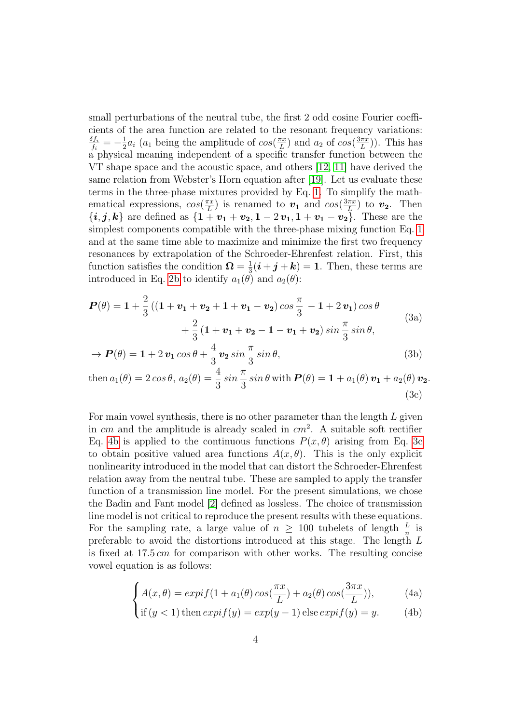small perturbations of the neutral tube, the first 2 odd cosine Fourier coefficients of the area function are related to the resonant frequency variations:  $\delta f_i$  $\frac{\delta f_i}{f_i}=-\frac{1}{2}$  $\frac{1}{2}a_i$  (a<sub>1</sub> being the amplitude of  $cos(\frac{\pi x}{L})$  $\frac{\pi x}{L}$ ) and  $a_2$  of  $cos(\frac{3\pi x}{L})$  $\frac{(\pi x)}{L})$ ). This has  $a$  physical meaning independent of a specific transfer function between the VT shape space and the acoustic space, and others [\[12,](#page-11-6) [11\]](#page-11-0) have derived the same relation from Webster's Horn equation after [\[19\]](#page-11-7). Let us evaluate these terms in the three-phase mixtures provided by Eq. [1.](#page-2-1) To simplify the mathematical expressions,  $cos(\frac{\pi x}{L})$  $\frac{\pi x}{L}$ ) is renamed to  $v_1$  and  $cos(\frac{3\pi x}{L})$  $\left(\frac{\pi x}{L}\right)$  to  $v_2$ . Then  ${i, j, k}$  are defined as  ${\overline{1 + v_1 + v_2, 1 - 2v_1, 1 + v_1 - v_2}}$ . These are the simplest components compatible with the three-phase mixing function Eq. [1](#page-2-1) and at the same time able to maximize and minimize the first two frequency resonances by extrapolation of the Schroeder-Ehrenfest relation. First, this function satisfies the condition  $\Omega = \frac{1}{3}$  $\frac{1}{3}(\boldsymbol{i} + \boldsymbol{j} + \boldsymbol{k}) = 1$ . Then, these terms are introduced in Eq. [2b](#page-2-2) to identify  $a_1(\theta)$  and  $a_2(\theta)$ :

$$
P(\theta) = 1 + \frac{2}{3} \left( (1 + v_1 + v_2 + 1 + v_1 - v_2) \cos \frac{\pi}{3} - 1 + 2 v_1 \right) \cos \theta + \frac{2}{3} \left( 1 + v_1 + v_2 - 1 - v_1 + v_2 \right) \sin \frac{\pi}{3} \sin \theta,
$$
\n(3a)

$$
\rightarrow \mathbf{P}(\theta) = \mathbf{1} + 2\,\mathbf{v}_1\cos\theta + \frac{4}{3}\,\mathbf{v}_2\sin\frac{\pi}{3}\sin\theta,\tag{3b}
$$

<span id="page-3-1"></span>then 
$$
a_1(\theta) = 2 \cos \theta
$$
,  $a_2(\theta) = \frac{4}{3} \sin \frac{\pi}{3} \sin \theta$  with  $\mathbf{P}(\theta) = \mathbf{1} + a_1(\theta) \mathbf{v}_1 + a_2(\theta) \mathbf{v}_2$ .  
(3c)

For main vowel synthesis, there is no other parameter than the length  $L$  given in  $cm$  and the amplitude is already scaled in  $cm<sup>2</sup>$ . A suitable soft rectifier Eq. [4b](#page-3-0) is applied to the continuous functions  $P(x, \theta)$  arising from Eq. [3c](#page-3-1) to obtain positive valued area functions  $A(x, \theta)$ . This is the only explicit nonlinearity introduced in the model that can distort the Schroeder-Ehrenfest relation away from the neutral tube. These are sampled to apply the transfer function of a transmission line model. For the present simulations, we chose the Badin and Fant model [\[2\]](#page-10-3) defined as lossless. The choice of transmission line model is not critical to reproduce the present results with these equations. For the sampling rate, a large value of  $n \geq 100$  tubelets of length  $\frac{L}{n}$  is preferable to avoid the distortions introduced at this stage. The length L is fixed at 17.5 cm for comparison with other works. The resulting concise vowel equation is as follows:

$$
\begin{cases} A(x,\theta) = expif(1 + a_1(\theta)cos(\frac{\pi x}{L}) + a_2(\theta)cos(\frac{3\pi x}{L})), \end{cases}
$$
 (4a)

$$
\text{if } (y < 1) \text{ then } \exp\{f(y) = \exp(y - 1)\text{ else } \exp\{f(y) = y. \tag{4b}\}
$$

<span id="page-3-2"></span><span id="page-3-0"></span>∢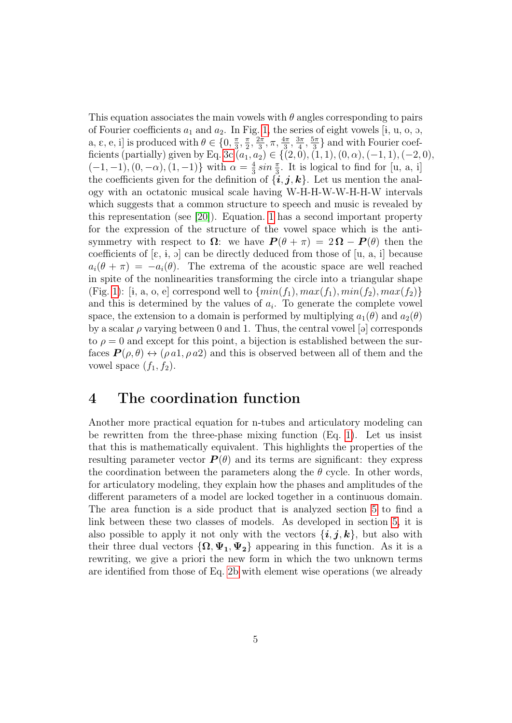This equation associates the main vowels with  $\theta$  angles corresponding to pairs of Fourier coefficients  $a_1$  and  $a_2$ . In Fig. [1,](#page-13-0) the series of eight vowels [i, u, o, o, a,  $\varepsilon$ , e, i] is produced with  $\theta \in \{0, \frac{\pi}{3}\}$  $\frac{\pi}{3}, \frac{\pi}{2}$  $\frac{\pi}{2}, \frac{2\pi}{3}$  $\frac{2\pi}{3},\pi,\frac{4\pi}{3},\frac{3\pi}{4}$  $\frac{3\pi}{4}, \frac{5\pi}{3}$  $\frac{\delta \pi}{3}$  and with Fourier coef-ficients (partially) given by Eq. [3c](#page-3-1)  $(a_1, a_2) \in \{ (2, 0), (1, 1), (0, \alpha), (-1, 1), (-2, 0),$  $(-1,-1), (0,-\alpha), (1,-1)$ } with  $\alpha = \frac{4}{3}$  $\frac{4}{3} \sin \frac{\pi}{3}$ . It is logical to find for [u, a, i] the coefficients given for the definition of  $\{\boldsymbol{i}, \boldsymbol{j}, \boldsymbol{k}\}\$ . Let us mention the analogy with an octatonic musical scale having W-H-H-W-W-H-H-W intervals which suggests that a common structure to speech and music is revealed by this representation (see [\[20\]](#page-11-8)). Equation. [1](#page-2-1) has a second important property for the expression of the structure of the vowel space which is the antisymmetry with respect to  $\Omega$ : we have  $P(\theta + \pi) = 2\Omega - P(\theta)$  then the coefficients of  $[\epsilon, i, \rho]$  can be directly deduced from those of  $[u, a, i]$  because  $a_i(\theta + \pi) = -a_i(\theta)$ . The extrema of the acoustic space are well reached in spite of the nonlinearities transforming the circle into a triangular shape (Fig. [1\)](#page-13-0): [i, a, o, e] correspond well to  $\{min(f_1), max(f_1), min(f_2), max(f_2)\}\$ and this is determined by the values of  $a_i$ . To generate the complete vowel space, the extension to a domain is performed by multiplying  $a_1(\theta)$  and  $a_2(\theta)$ by a scalar  $\rho$  varying between 0 and 1. Thus, the central vowel [a] corresponds to  $\rho = 0$  and except for this point, a bijection is established between the surfaces  $P(\rho, \theta) \leftrightarrow (\rho a_1, \rho a_2)$  and this is observed between all of them and the vowel space  $(f_1, f_2)$ .

#### <span id="page-4-0"></span>4 The coordination function

Another more practical equation for n-tubes and articulatory modeling can be rewritten from the three-phase mixing function (Eq. [1\)](#page-2-1). Let us insist that this is mathematically equivalent. This highlights the properties of the resulting parameter vector  $\boldsymbol{P}(\theta)$  and its terms are significant: they express the coordination between the parameters along the  $\theta$  cycle. In other words, for articulatory modeling, they explain how the phases and amplitudes of the different parameters of a model are locked together in a continuous domain. The area function is a side product that is analyzed section [5](#page-5-0) to find a link between these two classes of models. As developed in section [5,](#page-5-0) it is also possible to apply it not only with the vectors  $\{\bm i, \bm j, \bm k\}$ , but also with their three dual vectors  $\{\Omega, \Psi_1, \Psi_2\}$  appearing in this function. As it is a rewriting, we give a priori the new form in which the two unknown terms are identified from those of Eq. [2b](#page-2-2) with element wise operations (we already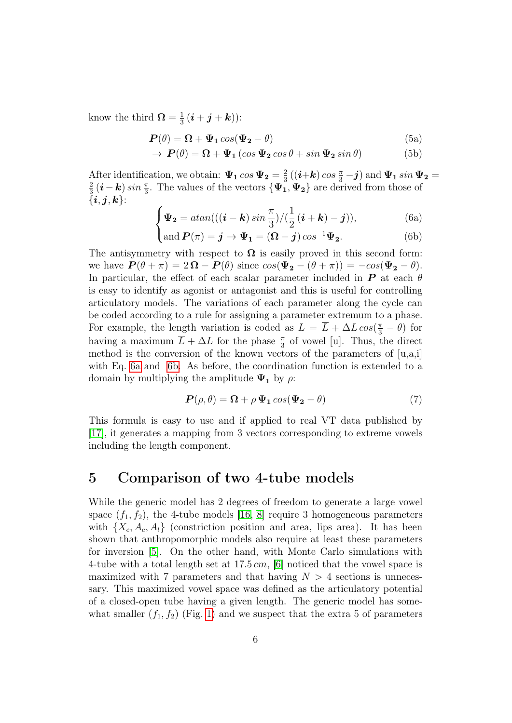know the third  $\Omega = \frac{1}{3}$  $\frac{1}{3}(\boldsymbol{i}+\boldsymbol{j}+\boldsymbol{k}))$ :

$$
\boldsymbol{P}(\theta) = \boldsymbol{\Omega} + \boldsymbol{\Psi}_1 \cos(\boldsymbol{\Psi}_2 - \theta) \tag{5a}
$$

$$
\rightarrow \, P(\theta) = \Omega + \Psi_1 \left( \cos \Psi_2 \cos \theta + \sin \Psi_2 \sin \theta \right) \tag{5b}
$$

After identification, we obtain:  $\Psi_1 \cos \Psi_2 = \frac{2}{3}$ After identification, we obtain:  $\Psi_1 \cos \Psi_2 = \frac{2}{3} ((i+k) \cos \frac{\pi}{3} - j)$  and  $\Psi_1 \sin \Psi_2 = \frac{2}{3} (i-k) \sin \frac{\pi}{3}$ . The values of the vectors  $\int \Psi_1 \Psi_2$  are derived from these of  $\frac{2}{3}$  (**i** – **k**) sin  $\frac{\pi}{3}$ . The values of the vectors  $\{\Psi_1, \Psi_2\}$  are derived from those of  $\{i, j, k\}$ :

$$
\begin{cases} \n\Psi_2 = \operatorname{atan}(((\boldsymbol{i} - \boldsymbol{k}) \sin \frac{\pi}{3}) / (\frac{1}{2} (\boldsymbol{i} + \boldsymbol{k}) - \boldsymbol{j})), \\ \text{and } \boldsymbol{P}(\pi) = \boldsymbol{j} \rightarrow \Psi_1 = (\boldsymbol{\Omega} - \boldsymbol{j}) \cos^{-1} \Psi_2. \end{cases} \tag{6b}
$$

<span id="page-5-2"></span><span id="page-5-1"></span>
$$
and P(\pi) = \mathbf{j} \to \Psi_1 = (\mathbf{\Omega} - \mathbf{j}) \cos^{-1} \Psi_2.
$$
 (6b)

The antisymmetry with respect to  $\Omega$  is easily proved in this second form: we have  $P(\theta + \pi) = 2\Omega - P(\theta)$  since  $\cos(\Psi_2 - (\theta + \pi)) = -\cos(\Psi_2 - \theta)$ . In particular, the effect of each scalar parameter included in  $\bm{P}$  at each  $\theta$ is easy to identify as agonist or antagonist and this is useful for controlling articulatory models. The variations of each parameter along the cycle can be coded according to a rule for assigning a parameter extremum to a phase. For example, the length variation is coded as  $L = \overline{L} + \Delta L \cos(\frac{\pi}{3} - \theta)$  for having a maximum  $\overline{L} + \Delta L$  for the phase  $\frac{\pi}{3}$  of vowel [u]. Thus, the direct method is the conversion of the known vectors of the parameters of  $[u,a,i]$ with Eq. [6a](#page-5-1) and [6b.](#page-5-2) As before, the coordination function is extended to a domain by multiplying the amplitude  $\Psi_1$  by  $\rho$ :

<span id="page-5-3"></span>
$$
\boldsymbol{P}(\rho,\theta) = \boldsymbol{\Omega} + \rho \, \boldsymbol{\Psi}_1 \cos(\boldsymbol{\Psi}_2 - \theta) \tag{7}
$$

This formula is easy to use and if applied to real VT data published by [\[17\]](#page-11-1), it generates a mapping from 3 vectors corresponding to extreme vowels including the length component.

#### <span id="page-5-0"></span>5 Comparison of two 4-tube models

While the generic model has 2 degrees of freedom to generate a large vowel space  $(f_1, f_2)$ , the 4-tube models [\[16,](#page-11-9) [8\]](#page-10-4) require 3 homogeneous parameters with  $\{X_c, A_c, A_l\}$  (constriction position and area, lips area). It has been shown that anthropomorphic models also require at least these parameters for inversion [\[5\]](#page-10-5). On the other hand, with Monte Carlo simulations with 4-tube with a total length set at  $17.5 \, \text{cm}$ , [\[6\]](#page-10-1) noticed that the vowel space is maximized with 7 parameters and that having  $N > 4$  sections is unnecessary. This maximized vowel space was defined as the articulatory potential of a closed-open tube having a given length. The generic model has somewhat smaller  $(f_1, f_2)$  (Fig. [1\)](#page-13-0) and we suspect that the extra 5 of parameters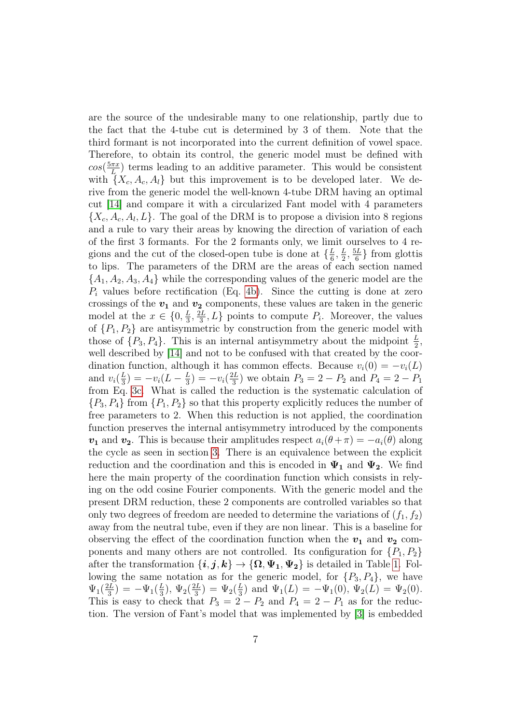are the source of the undesirable many to one relationship, partly due to the fact that the 4-tube cut is determined by 3 of them. Note that the third formant is not incorporated into the current definition of vowel space. Therefore, to obtain its control, the generic model must be defined with  $cos(\frac{5\pi x}{L})$  $\frac{\pi x}{L}$  terms leading to an additive parameter. This would be consistent with  $\{X_c, A_c, A_l\}$  but this improvement is to be developed later. We derive from the generic model the well-known 4-tube DRM having an optimal cut [\[14\]](#page-11-10) and compare it with a circularized Fant model with 4 parameters  $\{X_c, A_c, A_l, L\}$ . The goal of the DRM is to propose a division into 8 regions and a rule to vary their areas by knowing the direction of variation of each of the first 3 formants. For the 2 formants only, we limit ourselves to 4 regions and the cut of the closed-open tube is done at  $\{\frac{L}{6}\}$  $\frac{L}{6},\frac{L}{2}$  $\frac{L}{2}, \frac{5L}{6}$  $\frac{6L}{6}$  from glottis to lips. The parameters of the DRM are the areas of each section named  ${A_1, A_2, A_3, A_4}$  while the corresponding values of the generic model are the  $P_i$  values before rectification (Eq. [4b\)](#page-3-0). Since the cutting is done at zero crossings of the  $v_1$  and  $v_2$  components, these values are taken in the generic model at the  $x \in \{0, \frac{L}{3}\}$  $\frac{L}{3}, \frac{2L}{3}$  $\{2L}{3}$ ,  $L$ } points to compute  $P_i$ . Moreover, the values of  $\{P_1, P_2\}$  are antisymmetric by construction from the generic model with those of  $\{P_3, P_4\}$ . This is an internal antisymmetry about the midpoint  $\frac{L}{2}$ , well described by [\[14\]](#page-11-10) and not to be confused with that created by the coordination function, although it has common effects. Because  $v_i(0) = -v_i(L)$ and  $v_i(\frac{L}{3})$  $(\frac{L}{3}) = -v_i(L - \frac{L}{3})$  $(\frac{L}{3}) = -v_i(\frac{2L}{3})$  $\frac{2L}{3}$ ) we obtain  $P_3 = 2 - P_2$  and  $P_4 = 2 - P_1$ from Eq. [3c.](#page-3-1) What is called the reduction is the systematic calculation of  ${P_3, P_4}$  from  ${P_1, P_2}$  so that this property explicitly reduces the number of free parameters to 2. When this reduction is not applied, the coordination function preserves the internal antisymmetry introduced by the components  $v_1$  and  $v_2$ . This is because their amplitudes respect  $a_i(\theta + \pi) = -a_i(\theta)$  along the cycle as seen in section [3.](#page-2-0) There is an equivalence between the explicit reduction and the coordination and this is encoded in  $\Psi_1$  and  $\Psi_2$ . We find here the main property of the coordination function which consists in relying on the odd cosine Fourier components. With the generic model and the present DRM reduction, these 2 components are controlled variables so that only two degrees of freedom are needed to determine the variations of  $(f_1, f_2)$ away from the neutral tube, even if they are non linear. This is a baseline for observing the effect of the coordination function when the  $v_1$  and  $v_2$  components and many others are not controlled. Its configuration for  $\{P_1, P_2\}$ after the transformation  $\{i, j, k\} \rightarrow \{\Omega, \Psi_1, \Psi_2\}$  is detailed in Table [1.](#page-12-2) Following the same notation as for the generic model, for  $\{P_3, P_4\}$ , we have  $\Psi_1(\frac{2L}{3})$  $(\frac{2L}{3}) = -\Psi_1(\frac{L}{3})$  $(\frac{L}{3}), \Psi_2(\frac{2L}{3})$  $(\frac{2L}{3})=\Psi_2(\frac{L}{3})$  $\frac{L}{3}$ ) and  $\Psi_1(L) = -\Psi_1(0), \Psi_2(L) = \Psi_2(0).$ This is easy to check that  $P_3 = 2 - P_2$  and  $P_4 = 2 - P_1$  as for the reduction. The version of Fant's model that was implemented by [\[3\]](#page-10-6) is embedded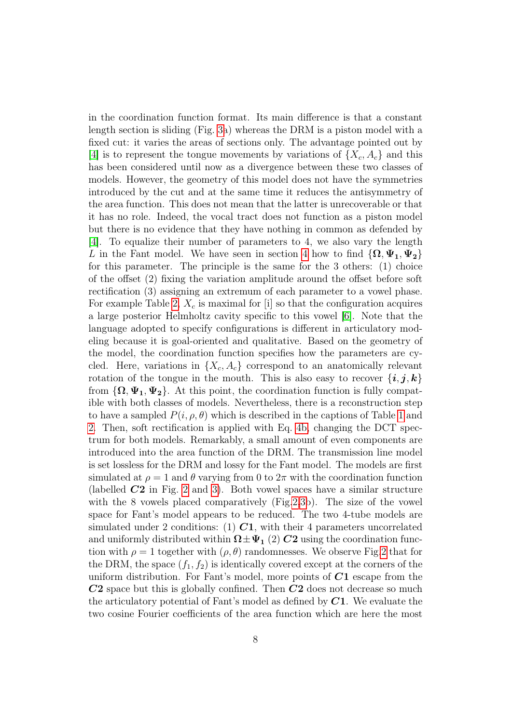in the coordination function format. Its main difference is that a constant length section is sliding (Fig. [3a](#page-15-0)) whereas the DRM is a piston model with a fixed cut: it varies the areas of sections only. The advantage pointed out by [\[4\]](#page-10-7) is to represent the tongue movements by variations of  $\{X_c, A_c\}$  and this has been considered until now as a divergence between these two classes of models. However, the geometry of this model does not have the symmetries introduced by the cut and at the same time it reduces the antisymmetry of the area function. This does not mean that the latter is unrecoverable or that it has no role. Indeed, the vocal tract does not function as a piston model but there is no evidence that they have nothing in common as defended by [\[4\]](#page-10-7). To equalize their number of parameters to 4, we also vary the length L in the Fant model. We have seen in section [4](#page-4-0) how to find  $\{\mathbf\Omega,\Psi_1,\Psi_2\}$ for this parameter. The principle is the same for the 3 others: (1) choice of the offset (2) fixing the variation amplitude around the offset before soft rectification (3) assigning an extremum of each parameter to a vowel phase. For example Table [2,](#page-12-3)  $X_c$  is maximal for [i] so that the configuration acquires a large posterior Helmholtz cavity specific to this vowel [\[6\]](#page-10-1). Note that the language adopted to specify configurations is different in articulatory modeling because it is goal-oriented and qualitative. Based on the geometry of the model, the coordination function specifies how the parameters are cycled. Here, variations in  $\{X_c, A_c\}$  correspond to an anatomically relevant rotation of the tongue in the mouth. This is also easy to recover  $\{i, j, k\}$ from  $\{\Omega, \Psi_1, \Psi_2\}$ . At this point, the coordination function is fully compatible with both classes of models. Nevertheless, there is a reconstruction step to have a sampled  $P(i, \rho, \theta)$  which is described in the captions of Table [1](#page-12-2) and [2.](#page-12-3) Then, soft rectification is applied with Eq. [4b,](#page-3-0) changing the DCT spectrum for both models. Remarkably, a small amount of even components are introduced into the area function of the DRM. The transmission line model is set lossless for the DRM and lossy for the Fant model. The models are first simulated at  $\rho = 1$  and  $\theta$  varying from 0 to  $2\pi$  with the coordination function (labelled  $C2$  in Fig. [2](#page-14-0) and [3\)](#page-15-0). Both vowel spaces have a similar structure with the 8 vowels placed comparatively (Fig[.2](#page-14-0)[,3b](#page-15-0)). The size of the vowel space for Fant's model appears to be reduced. The two 4-tube models are simulated under 2 conditions: (1)  $C1$ , with their 4 parameters uncorrelated and uniformly distributed within  $\Omega \pm \Psi_1$  (2) C2 using the coordination function with  $\rho = 1$  together with  $(\rho, \theta)$  randomnesses. We observe Fig[.2](#page-14-0) that for the DRM, the space  $(f_1, f_2)$  is identically covered except at the corners of the uniform distribution. For Fant's model, more points of  $C1$  escape from the  $C2$  space but this is globally confined. Then  $C2$  does not decrease so much the articulatory potential of Fant's model as defined by  $C1$ . We evaluate the two cosine Fourier coefficients of the area function which are here the most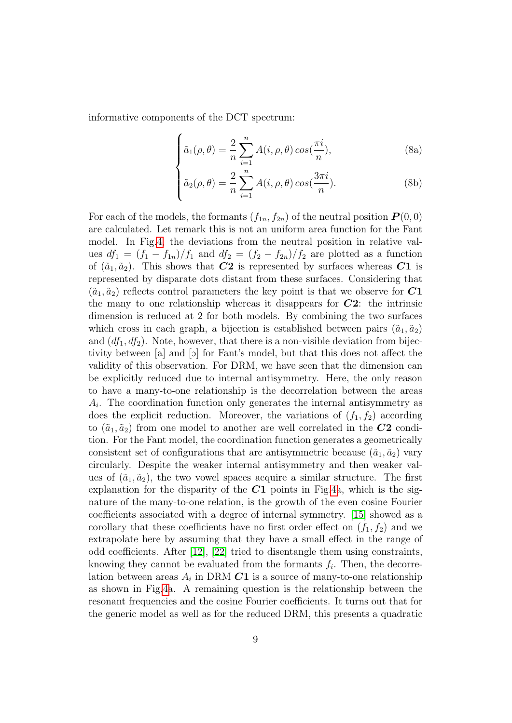informative components of the DCT spectrum:

$$
\int \tilde{a}_1(\rho,\theta) = \frac{2}{n} \sum_{i=1}^n A(i,\rho,\theta) \cos(\frac{\pi i}{n}),
$$
 (8a)

$$
\hat{a}_2(\rho,\theta) = \frac{2}{n} \sum_{i=1}^n A(i,\rho,\theta) \cos(\frac{3\pi i}{n}).
$$
 (8b)

For each of the models, the formants  $(f_{1n}, f_{2n})$  of the neutral position  $\boldsymbol{P}(0, 0)$ are calculated. Let remark this is not an uniform area function for the Fant model. In Fig[.4,](#page-16-0) the deviations from the neutral position in relative values  $df_1 = (f_1 - f_{1n})/f_1$  and  $df_2 = (f_2 - f_{2n})/f_2$  are plotted as a function of  $(\tilde{a}_1, \tilde{a}_2)$ . This shows that  $C2$  is represented by surfaces whereas  $C1$  is represented by disparate dots distant from these surfaces. Considering that  $(\tilde{a}_1, \tilde{a}_2)$  reflects control parameters the key point is that we observe for  $C1$ the many to one relationship whereas it disappears for  $C2$ : the intrinsic dimension is reduced at 2 for both models. By combining the two surfaces which cross in each graph, a bijection is established between pairs  $(\tilde{a}_1, \tilde{a}_2)$ and  $(df_1, df_2)$ . Note, however, that there is a non-visible deviation from bijectivity between [a] and [O] for Fant's model, but that this does not affect the validity of this observation. For DRM, we have seen that the dimension can be explicitly reduced due to internal antisymmetry. Here, the only reason to have a many-to-one relationship is the decorrelation between the areas  $A_i$ . The coordination function only generates the internal antisymmetry as does the explicit reduction. Moreover, the variations of  $(f_1, f_2)$  according to  $(\tilde{a}_1, \tilde{a}_2)$  from one model to another are well correlated in the  $C2$  condition. For the Fant model, the coordination function generates a geometrically consistent set of configurations that are antisymmetric because  $(\tilde{a}_1, \tilde{a}_2)$  vary circularly. Despite the weaker internal antisymmetry and then weaker values of  $(\tilde{a}_1, \tilde{a}_2)$ , the two vowel spaces acquire a similar structure. The first explanation for the disparity of the  $C1$  points in Fig[.4a](#page-16-0), which is the signature of the many-to-one relation, is the growth of the even cosine Fourier coefficients associated with a degree of internal symmetry. [\[15\]](#page-11-5) showed as a corollary that these coefficients have no first order effect on  $(f_1, f_2)$  and we extrapolate here by assuming that they have a small effect in the range of odd coefficients. After [\[12\]](#page-11-6), [\[22\]](#page-12-0) tried to disentangle them using constraints, knowing they cannot be evaluated from the formants  $f_i$ . Then, the decorrelation between areas  $A_i$  in DRM  $C1$  is a source of many-to-one relationship as shown in Fig[.4a](#page-16-0). A remaining question is the relationship between the resonant frequencies and the cosine Fourier coefficients. It turns out that for the generic model as well as for the reduced DRM, this presents a quadratic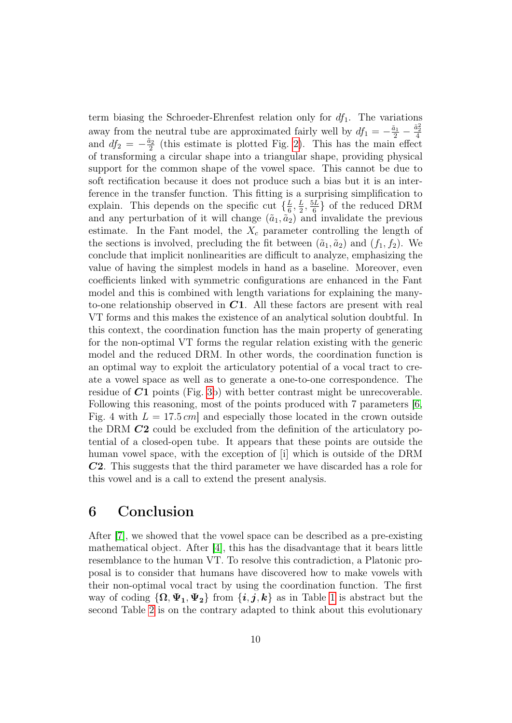term biasing the Schroeder-Ehrenfest relation only for  $df_1$ . The variations away from the neutral tube are approximated fairly well by  $df_1 = -\frac{\tilde{a}_1}{2} - \frac{\tilde{a}_2^2}{4}$ and  $df_2 = -\frac{\tilde{a}_2}{2}$  $\frac{2}{2}$  (this estimate is plotted Fig. [2\)](#page-14-0). This has the main effect of transforming a circular shape into a triangular shape, providing physical support for the common shape of the vowel space. This cannot be due to soft rectification because it does not produce such a bias but it is an interference in the transfer function. This fitting is a surprising simplification to explain. This depends on the specific cut  $\{\frac{L}{6}\}$  $\frac{L}{6},\frac{L}{2}$  $\frac{L}{2}, \frac{5L}{6}$  $\frac{6L}{6}$  of the reduced DRM and any perturbation of it will change  $(\tilde{a}_1, \tilde{a}_2)$  and invalidate the previous estimate. In the Fant model, the  $X_c$  parameter controlling the length of the sections is involved, precluding the fit between  $(\tilde{a}_1, \tilde{a}_2)$  and  $(f_1, f_2)$ . We conclude that implicit nonlinearities are difficult to analyze, emphasizing the value of having the simplest models in hand as a baseline. Moreover, even coefficients linked with symmetric configurations are enhanced in the Fant model and this is combined with length variations for explaining the manyto-one relationship observed in  $C1$ . All these factors are present with real VT forms and this makes the existence of an analytical solution doubtful. In this context, the coordination function has the main property of generating for the non-optimal VT forms the regular relation existing with the generic model and the reduced DRM. In other words, the coordination function is an optimal way to exploit the articulatory potential of a vocal tract to create a vowel space as well as to generate a one-to-one correspondence. The residue of  $C1$  points (Fig. [3b](#page-15-0)) with better contrast might be unrecoverable. Following this reasoning, most of the points produced with 7 parameters [\[6,](#page-10-1) Fig. 4 with  $L = 17.5 \text{ cm}$  and especially those located in the crown outside the DRM C2 could be excluded from the definition of the articulatory potential of a closed-open tube. It appears that these points are outside the human vowel space, with the exception of [i] which is outside of the DRM C2. This suggests that the third parameter we have discarded has a role for this vowel and is a call to extend the present analysis.

# 6 Conclusion

After [\[7\]](#page-10-2), we showed that the vowel space can be described as a pre-existing mathematical object. After [\[4\]](#page-10-7), this has the disadvantage that it bears little resemblance to the human VT. To resolve this contradiction, a Platonic proposal is to consider that humans have discovered how to make vowels with their non-optimal vocal tract by using the coordination function. The first way of coding  $\{\Omega, \Psi_1, \Psi_2\}$  from  $\{\boldsymbol{i}, \boldsymbol{j}, \boldsymbol{k}\}\$ as in Table [1](#page-12-2) is abstract but the second Table [2](#page-12-3) is on the contrary adapted to think about this evolutionary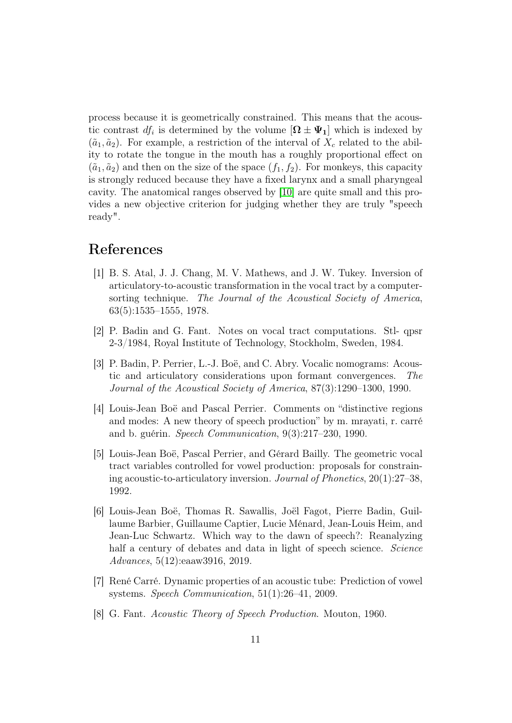process because it is geometrically constrained. This means that the acoustic contrast  $df_i$  is determined by the volume  $[\mathbf{\Omega} \pm \mathbf{\Psi}_1]$  which is indexed by  $(\tilde{a}_1, \tilde{a}_2)$ . For example, a restriction of the interval of  $X_c$  related to the ability to rotate the tongue in the mouth has a roughly proportional effect on  $(\tilde{a}_1, \tilde{a}_2)$  and then on the size of the space  $(f_1, f_2)$ . For monkeys, this capacity is strongly reduced because they have a fixed larynx and a small pharyngeal cavity. The anatomical ranges observed by [\[10\]](#page-11-11) are quite small and this provides a new objective criterion for judging whether they are truly "speech ready".

### References

- <span id="page-10-0"></span>[1] B. S. Atal, J. J. Chang, M. V. Mathews, and J. W. Tukey. Inversion of articulatory-to-acoustic transformation in the vocal tract by a computersorting technique. The Journal of the Acoustical Society of America, 63(5):1535–1555, 1978.
- <span id="page-10-3"></span>[2] P. Badin and G. Fant. Notes on vocal tract computations. Stl- qpsr 2-3/1984, Royal Institute of Technology, Stockholm, Sweden, 1984.
- <span id="page-10-6"></span>[3] P. Badin, P. Perrier, L.-J. Boë, and C. Abry. Vocalic nomograms: Acoustic and articulatory considerations upon formant convergences. The Journal of the Acoustical Society of America, 87(3):1290–1300, 1990.
- <span id="page-10-7"></span>[4] Louis-Jean Boë and Pascal Perrier. Comments on "distinctive regions and modes: A new theory of speech production" by m. mrayati, r. carré and b. guérin. Speech Communication, 9(3):217–230, 1990.
- <span id="page-10-5"></span>[5] Louis-Jean Boë, Pascal Perrier, and Gérard Bailly. The geometric vocal tract variables controlled for vowel production: proposals for constraining acoustic-to-articulatory inversion. Journal of Phonetics, 20(1):27–38, 1992.
- <span id="page-10-1"></span>[6] Louis-Jean Boë, Thomas R. Sawallis, Joël Fagot, Pierre Badin, Guillaume Barbier, Guillaume Captier, Lucie Ménard, Jean-Louis Heim, and Jean-Luc Schwartz. Which way to the dawn of speech?: Reanalyzing half a century of debates and data in light of speech science. Science Advances, 5(12):eaaw3916, 2019.
- <span id="page-10-2"></span>[7] René Carré. Dynamic properties of an acoustic tube: Prediction of vowel systems. Speech Communication, 51(1):26–41, 2009.
- <span id="page-10-4"></span>[8] G. Fant. Acoustic Theory of Speech Production. Mouton, 1960.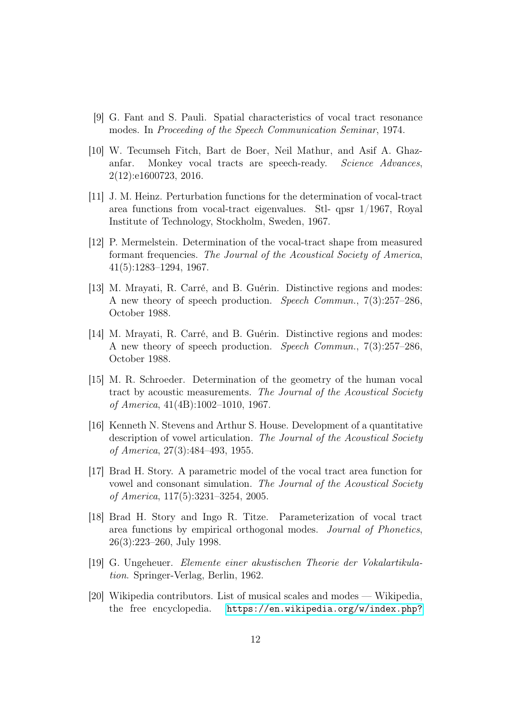- <span id="page-11-2"></span>[9] G. Fant and S. Pauli. Spatial characteristics of vocal tract resonance modes. In Proceeding of the Speech Communication Seminar, 1974.
- <span id="page-11-11"></span>[10] W. Tecumseh Fitch, Bart de Boer, Neil Mathur, and Asif A. Ghazanfar. Monkey vocal tracts are speech-ready. Science Advances, 2(12):e1600723, 2016.
- <span id="page-11-0"></span>[11] J. M. Heinz. Perturbation functions for the determination of vocal-tract area functions from vocal-tract eigenvalues. Stl- qpsr 1/1967, Royal Institute of Technology, Stockholm, Sweden, 1967.
- <span id="page-11-6"></span>[12] P. Mermelstein. Determination of the vocal-tract shape from measured formant frequencies. The Journal of the Acoustical Society of America, 41(5):1283–1294, 1967.
- <span id="page-11-3"></span>[13] M. Mrayati, R. Carré, and B. Guérin. Distinctive regions and modes: A new theory of speech production. Speech Commun., 7(3):257–286, October 1988.
- <span id="page-11-10"></span>[14] M. Mrayati, R. Carré, and B. Guérin. Distinctive regions and modes: A new theory of speech production. Speech Commun., 7(3):257–286, October 1988.
- <span id="page-11-5"></span>[15] M. R. Schroeder. Determination of the geometry of the human vocal tract by acoustic measurements. The Journal of the Acoustical Society of America, 41(4B):1002–1010, 1967.
- <span id="page-11-9"></span>[16] Kenneth N. Stevens and Arthur S. House. Development of a quantitative description of vowel articulation. The Journal of the Acoustical Society of America, 27(3):484–493, 1955.
- <span id="page-11-1"></span>[17] Brad H. Story. A parametric model of the vocal tract area function for vowel and consonant simulation. The Journal of the Acoustical Society of America, 117(5):3231–3254, 2005.
- <span id="page-11-4"></span>[18] Brad H. Story and Ingo R. Titze. Parameterization of vocal tract area functions by empirical orthogonal modes. Journal of Phonetics, 26(3):223–260, July 1998.
- <span id="page-11-7"></span>[19] G. Ungeheuer. Elemente einer akustischen Theorie der Vokalartikulation. Springer-Verlag, Berlin, 1962.
- <span id="page-11-8"></span>[20] Wikipedia contributors. List of musical scales and modes — Wikipedia, the free encyclopedia. [https://en.wikipedia.org/w/index.php?](https://en.wikipedia.org/w/index.php?title=List_of_musical_scales_and_modes&oldid=1007710677)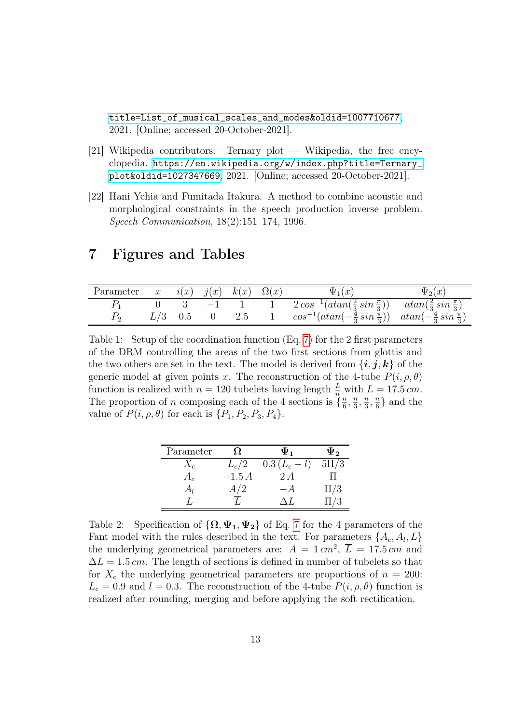[title=List\\_of\\_musical\\_scales\\_and\\_modes&oldid=1007710677](https://en.wikipedia.org/w/index.php?title=List_of_musical_scales_and_modes&oldid=1007710677), 2021. [Online; accessed 20-October-2021].

- <span id="page-12-1"></span>[21] Wikipedia contributors. Ternary plot — Wikipedia, the free encyclopedia. [https://en.wikipedia.org/w/index.php?title=Ternary\\_](https://en.wikipedia.org/w/index.php?title=Ternary_plot&oldid=1027347669) [plot&oldid=1027347669](https://en.wikipedia.org/w/index.php?title=Ternary_plot&oldid=1027347669), 2021. [Online; accessed 20-October-2021].
- <span id="page-12-0"></span>[22] Hani Yehia and Fumitada Itakura. A method to combine acoustic and morphological constraints in the speech production inverse problem. Speech Communication, 18(2):151–174, 1996.

# 7 Figures and Tables

| Parameter | $\boldsymbol{x}$ |     | $i(x)$ $j(x)$ $k(x)$ $\Omega(x)$ |                  | $\Psi_1(x)$                                                                               |  |
|-----------|------------------|-----|----------------------------------|------------------|-------------------------------------------------------------------------------------------|--|
|           |                  |     | $-1$                             |                  | $2\cos^{-1}(atan(\frac{2}{3}\sin{\frac{\pi}{3}}))$ $atan(\frac{2}{3}\sin{\frac{\pi}{3}})$ |  |
|           |                  | 0.5 |                                  | $\therefore$ 2.5 | $cos^{-1}(atan(-\frac{4}{3}sin \frac{\pi}{3}))$ $atan(-\frac{4}{3}sin \frac{\pi}{3})$     |  |

<span id="page-12-2"></span>Table 1: Setup of the coordination function (Eq. [7\)](#page-5-3) for the 2 first parameters of the DRM controlling the areas of the two first sections from glottis and the two others are set in the text. The model is derived from  $\{i, j, k\}$  of the generic model at given points x. The reconstruction of the 4-tube  $P(i, \rho, \theta)$ function is realized with  $n = 120$  tubelets having length  $\frac{L}{n}$  with  $L = 17.5$  cm. The proportion of n composing each of the 4 sections is  $\{\frac{n}{6}\}$  $\frac{n}{6}, \frac{n}{3}$  $\frac{n}{3}, \frac{n}{3}$  $\frac{n}{3}, \frac{n}{6}$  $\frac{n}{6}$  and the value of  $P(i, \rho, \theta)$  for each is  $\{P_1, P_2, P_3, P_4\}.$ 

| Parameter | 92      | $\Psi_1$        | ψ,       |
|-----------|---------|-----------------|----------|
| $X_{c}$   | $L_c/2$ | $0.3 (L_c - l)$ | $5\Pi/3$ |
| $A_c$     | $-1.5A$ | 2A              |          |
| $A_l$     | A/2     | — A             | $\Pi/3$  |
|           |         |                 | $\Pi/3$  |

<span id="page-12-3"></span>Table 2: Specification of  $\{\Omega, \Psi_1, \Psi_2\}$  of Eq. [7](#page-5-3) for the 4 parameters of the Fant model with the rules described in the text. For parameters  $\{A_c, A_l, L\}$ the underlying geometrical parameters are:  $A = 1 \, \text{cm}^2$ ,  $\overline{L} = 17.5 \, \text{cm}$  and  $\Delta L = 1.5$  cm. The length of sections is defined in number of tubelets so that for  $X_c$  the underlying geometrical parameters are proportions of  $n = 200$ :  $L_c = 0.9$  and  $l = 0.3$ . The reconstruction of the 4-tube  $P(i, \rho, \theta)$  function is realized after rounding, merging and before applying the soft rectification.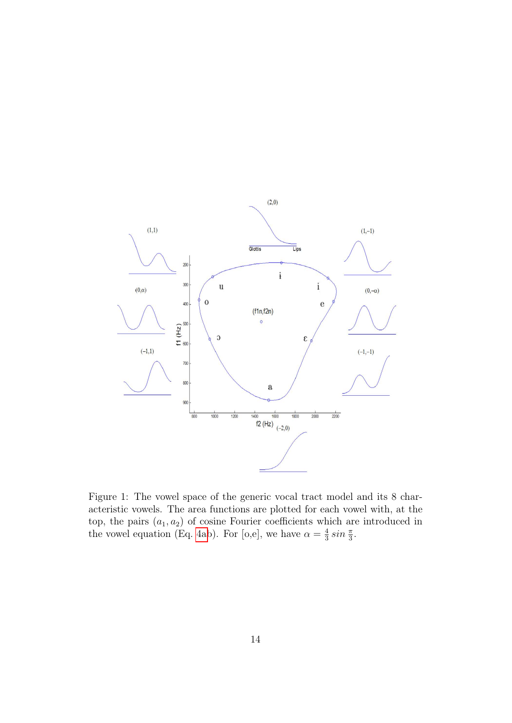

<span id="page-13-0"></span>Figure 1: The vowel space of the generic vocal tract model and its 8 characteristic vowels. The area functions are plotted for each vowel with, at the top, the pairs  $(a_1, a_2)$  of cosine Fourier coefficients which are introduced in the vowel equation (Eq. [4ab](#page-3-2)). For [o,e], we have  $\alpha = \frac{4}{3}$  $rac{4}{3} \sin \frac{\pi}{3}$ .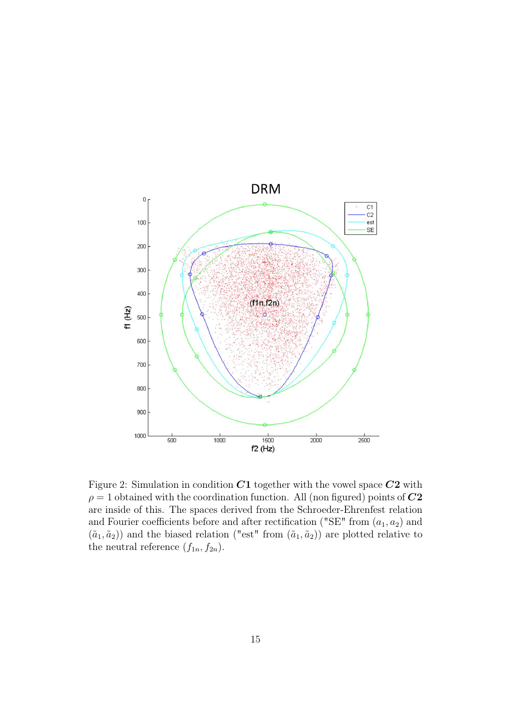

<span id="page-14-0"></span>Figure 2: Simulation in condition  $C1$  together with the vowel space  $C2$  with  $\rho = 1$  obtained with the coordination function. All (non figured) points of  $C2$ are inside of this. The spaces derived from the Schroeder-Ehrenfest relation and Fourier coefficients before and after rectification ("SE" from  $(a_1, a_2)$  and  $(\tilde{a}_1, \tilde{a}_2)$ ) and the biased relation ("est" from  $(\tilde{a}_1, \tilde{a}_2)$ ) are plotted relative to the neutral reference  $(f_{1n}, f_{2n})$ .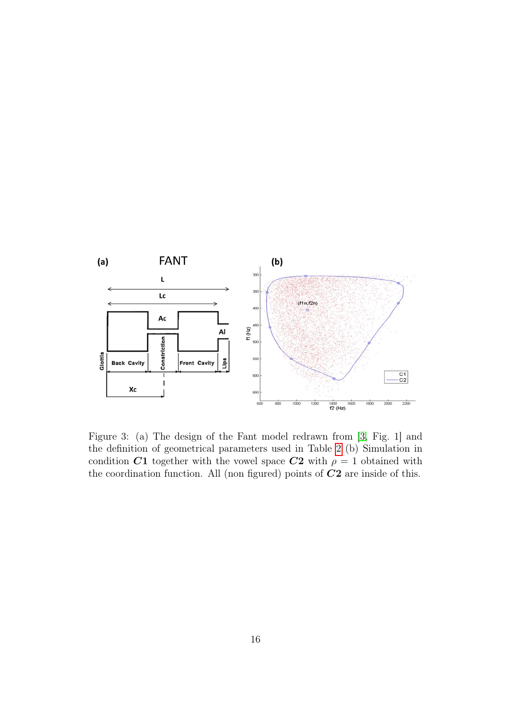

<span id="page-15-0"></span>Figure 3: (a) The design of the Fant model redrawn from [\[3,](#page-10-6) Fig. 1] and the definition of geometrical parameters used in Table [2](#page-12-3) (b) Simulation in condition C1 together with the vowel space C2 with  $\rho = 1$  obtained with the coordination function. All (non figured) points of  $C2$  are inside of this.